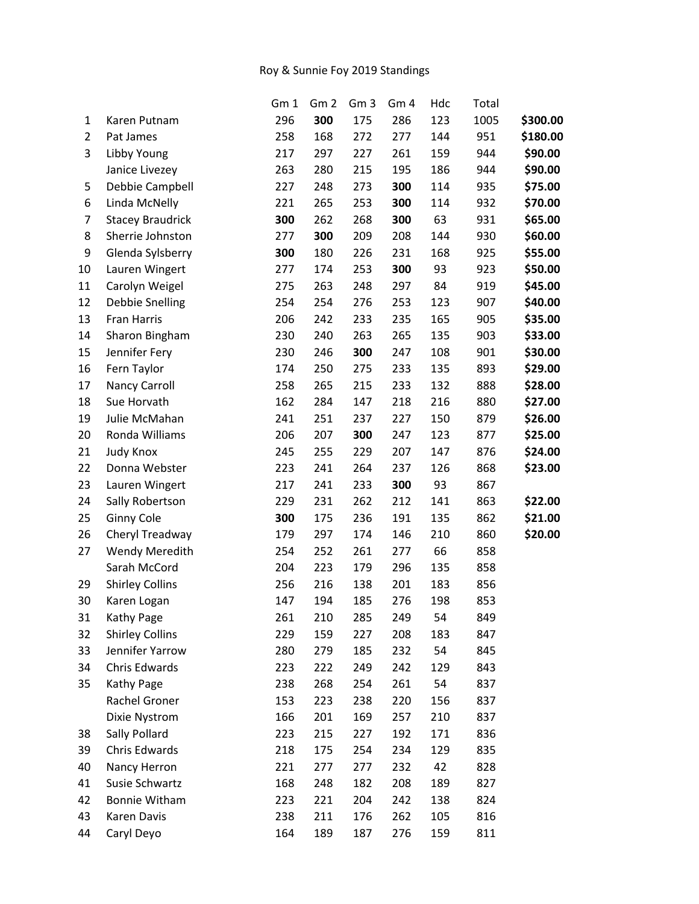## Roy & Sunnie Foy 2019 Standings

|    |                         | Gm 1 | Gm <sub>2</sub> | Gm <sub>3</sub> | Gm <sub>4</sub> | Hdc | Total |          |
|----|-------------------------|------|-----------------|-----------------|-----------------|-----|-------|----------|
| 1  | Karen Putnam            | 296  | 300             | 175             | 286             | 123 | 1005  | \$300.00 |
| 2  | Pat James               | 258  | 168             | 272             | 277             | 144 | 951   | \$180.00 |
| 3  | Libby Young             | 217  | 297             | 227             | 261             | 159 | 944   | \$90.00  |
|    | Janice Livezey          | 263  | 280             | 215             | 195             | 186 | 944   | \$90.00  |
| 5  | Debbie Campbell         | 227  | 248             | 273             | 300             | 114 | 935   | \$75.00  |
| 6  | Linda McNelly           | 221  | 265             | 253             | 300             | 114 | 932   | \$70.00  |
| 7  | <b>Stacey Braudrick</b> | 300  | 262             | 268             | 300             | 63  | 931   | \$65.00  |
| 8  | Sherrie Johnston        | 277  | 300             | 209             | 208             | 144 | 930   | \$60.00  |
| 9  | Glenda Sylsberry        | 300  | 180             | 226             | 231             | 168 | 925   | \$55.00  |
| 10 | Lauren Wingert          | 277  | 174             | 253             | 300             | 93  | 923   | \$50.00  |
| 11 | Carolyn Weigel          | 275  | 263             | 248             | 297             | 84  | 919   | \$45.00  |
| 12 | Debbie Snelling         | 254  | 254             | 276             | 253             | 123 | 907   | \$40.00  |
| 13 | Fran Harris             | 206  | 242             | 233             | 235             | 165 | 905   | \$35.00  |
| 14 | Sharon Bingham          | 230  | 240             | 263             | 265             | 135 | 903   | \$33.00  |
| 15 | Jennifer Fery           | 230  | 246             | 300             | 247             | 108 | 901   | \$30.00  |
| 16 | Fern Taylor             | 174  | 250             | 275             | 233             | 135 | 893   | \$29.00  |
| 17 | Nancy Carroll           | 258  | 265             | 215             | 233             | 132 | 888   | \$28.00  |
| 18 | Sue Horvath             | 162  | 284             | 147             | 218             | 216 | 880   | \$27.00  |
| 19 | Julie McMahan           | 241  | 251             | 237             | 227             | 150 | 879   | \$26.00  |
| 20 | Ronda Williams          | 206  | 207             | 300             | 247             | 123 | 877   | \$25.00  |
| 21 | <b>Judy Knox</b>        | 245  | 255             | 229             | 207             | 147 | 876   | \$24.00  |
| 22 | Donna Webster           | 223  | 241             | 264             | 237             | 126 | 868   | \$23.00  |
| 23 | Lauren Wingert          | 217  | 241             | 233             | 300             | 93  | 867   |          |
| 24 | Sally Robertson         | 229  | 231             | 262             | 212             | 141 | 863   | \$22.00  |
| 25 | Ginny Cole              | 300  | 175             | 236             | 191             | 135 | 862   | \$21.00  |
| 26 | Cheryl Treadway         | 179  | 297             | 174             | 146             | 210 | 860   | \$20.00  |
| 27 | <b>Wendy Meredith</b>   | 254  | 252             | 261             | 277             | 66  | 858   |          |
|    | Sarah McCord            | 204  | 223             | 179             | 296             | 135 | 858   |          |
| 29 | <b>Shirley Collins</b>  | 256  | 216             | 138             | 201             | 183 | 856   |          |
| 30 | Karen Logan             | 147  | 194             | 185             | 276             | 198 | 853   |          |
| 31 | Kathy Page              | 261  | 210             | 285             | 249             | 54  | 849   |          |
| 32 | <b>Shirley Collins</b>  | 229  | 159             | 227             | 208             | 183 | 847   |          |
| 33 | Jennifer Yarrow         | 280  | 279             | 185             | 232             | 54  | 845   |          |
| 34 | Chris Edwards           | 223  | 222             | 249             | 242             | 129 | 843   |          |
| 35 | Kathy Page              | 238  | 268             | 254             | 261             | 54  | 837   |          |
|    | Rachel Groner           | 153  | 223             | 238             | 220             | 156 | 837   |          |
|    | Dixie Nystrom           | 166  | 201             | 169             | 257             | 210 | 837   |          |
| 38 | Sally Pollard           | 223  | 215             | 227             | 192             | 171 | 836   |          |
| 39 | Chris Edwards           | 218  | 175             | 254             | 234             | 129 | 835   |          |
| 40 | Nancy Herron            | 221  | 277             | 277             | 232             | 42  | 828   |          |
| 41 | Susie Schwartz          | 168  | 248             | 182             | 208             | 189 | 827   |          |
| 42 | Bonnie Witham           | 223  | 221             | 204             | 242             | 138 | 824   |          |
| 43 | Karen Davis             | 238  | 211             | 176             | 262             | 105 | 816   |          |
| 44 | Caryl Deyo              | 164  | 189             | 187             | 276             | 159 | 811   |          |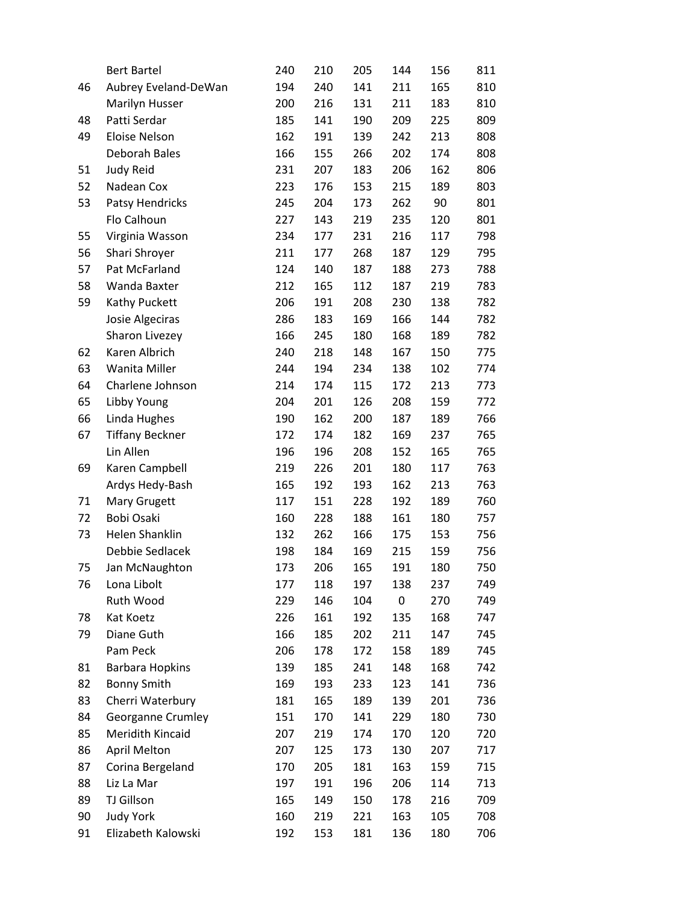|    | <b>Bert Bartel</b>     | 240 | 210 | 205 | 144 | 156 | 811 |
|----|------------------------|-----|-----|-----|-----|-----|-----|
| 46 | Aubrey Eveland-DeWan   | 194 | 240 | 141 | 211 | 165 | 810 |
|    | Marilyn Husser         | 200 | 216 | 131 | 211 | 183 | 810 |
| 48 | Patti Serdar           | 185 | 141 | 190 | 209 | 225 | 809 |
| 49 | <b>Eloise Nelson</b>   | 162 | 191 | 139 | 242 | 213 | 808 |
|    | Deborah Bales          | 166 | 155 | 266 | 202 | 174 | 808 |
| 51 | Judy Reid              | 231 | 207 | 183 | 206 | 162 | 806 |
| 52 | Nadean Cox             | 223 | 176 | 153 | 215 | 189 | 803 |
| 53 | Patsy Hendricks        | 245 | 204 | 173 | 262 | 90  | 801 |
|    | Flo Calhoun            | 227 | 143 | 219 | 235 | 120 | 801 |
| 55 | Virginia Wasson        | 234 | 177 | 231 | 216 | 117 | 798 |
| 56 | Shari Shroyer          | 211 | 177 | 268 | 187 | 129 | 795 |
| 57 | Pat McFarland          | 124 | 140 | 187 | 188 | 273 | 788 |
| 58 | Wanda Baxter           | 212 | 165 | 112 | 187 | 219 | 783 |
| 59 | Kathy Puckett          | 206 | 191 | 208 | 230 | 138 | 782 |
|    | Josie Algeciras        | 286 | 183 | 169 | 166 | 144 | 782 |
|    | Sharon Livezey         | 166 | 245 | 180 | 168 | 189 | 782 |
| 62 | Karen Albrich          | 240 | 218 | 148 | 167 | 150 | 775 |
| 63 | Wanita Miller          | 244 | 194 | 234 | 138 | 102 | 774 |
| 64 | Charlene Johnson       | 214 | 174 | 115 | 172 | 213 | 773 |
| 65 | Libby Young            | 204 | 201 | 126 | 208 | 159 | 772 |
| 66 | Linda Hughes           | 190 | 162 | 200 | 187 | 189 | 766 |
| 67 | <b>Tiffany Beckner</b> | 172 | 174 | 182 | 169 | 237 | 765 |
|    | Lin Allen              | 196 | 196 | 208 | 152 | 165 | 765 |
| 69 | Karen Campbell         | 219 | 226 | 201 | 180 | 117 | 763 |
|    | Ardys Hedy-Bash        | 165 | 192 | 193 | 162 | 213 | 763 |
| 71 | Mary Grugett           | 117 | 151 | 228 | 192 | 189 | 760 |
| 72 | Bobi Osaki             | 160 | 228 | 188 | 161 | 180 | 757 |
| 73 | Helen Shanklin         | 132 | 262 | 166 | 175 | 153 | 756 |
|    | Debbie Sedlacek        | 198 | 184 | 169 | 215 | 159 | 756 |
| 75 | Jan McNaughton         | 173 | 206 | 165 | 191 | 180 | 750 |
| 76 | Lona Libolt            | 177 | 118 | 197 | 138 | 237 | 749 |
|    | Ruth Wood              | 229 | 146 | 104 | 0   | 270 | 749 |
| 78 | Kat Koetz              | 226 | 161 | 192 | 135 | 168 | 747 |
| 79 | Diane Guth             | 166 | 185 | 202 | 211 | 147 | 745 |
|    | Pam Peck               | 206 | 178 | 172 | 158 | 189 | 745 |
| 81 | <b>Barbara Hopkins</b> | 139 | 185 | 241 | 148 | 168 | 742 |
| 82 | <b>Bonny Smith</b>     | 169 | 193 | 233 | 123 | 141 | 736 |
| 83 | Cherri Waterbury       | 181 | 165 | 189 | 139 | 201 | 736 |
| 84 | Georganne Crumley      | 151 | 170 | 141 | 229 | 180 | 730 |
| 85 | Meridith Kincaid       | 207 | 219 | 174 | 170 | 120 | 720 |
| 86 | <b>April Melton</b>    | 207 | 125 | 173 | 130 | 207 | 717 |
| 87 | Corina Bergeland       | 170 | 205 | 181 | 163 | 159 | 715 |
| 88 | Liz La Mar             | 197 | 191 | 196 | 206 | 114 | 713 |
| 89 | TJ Gillson             | 165 | 149 | 150 | 178 | 216 | 709 |
| 90 | <b>Judy York</b>       | 160 | 219 | 221 | 163 | 105 | 708 |
| 91 | Elizabeth Kalowski     | 192 | 153 | 181 | 136 | 180 | 706 |